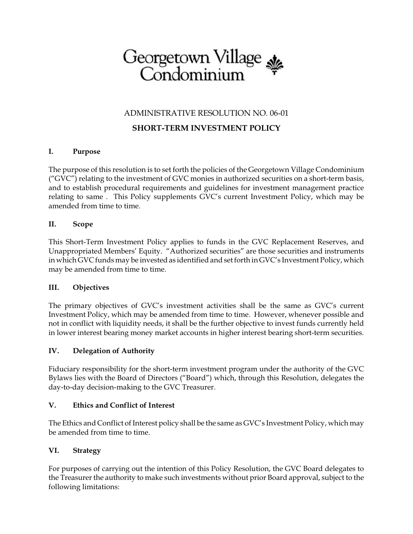# Georgetown Village

# ADMINISTRATIVE RESOLUTION NO. 06-01

# **SHORT-TERM INVESTMENT POLICY**

#### **I. Purpose**

The purpose of this resolution is to set forth the policies of the Georgetown Village Condominium ("GVC") relating to the investment of GVC monies in authorized securities on a short-term basis, and to establish procedural requirements and guidelines for investment management practice relating to same . This Policy supplements GVC's current Investment Policy, which may be amended from time to time.

#### **II. Scope**

This Short-Term Investment Policy applies to funds in the GVC Replacement Reserves, and Unappropriated Members' Equity. "Authorized securities" are those securities and instruments in which GVC funds may be invested as identified and set forth in GVC's Investment Policy, which may be amended from time to time.

#### **III. Objectives**

The primary objectives of GVC's investment activities shall be the same as GVC's current Investment Policy, which may be amended from time to time. However, whenever possible and not in conflict with liquidity needs, it shall be the further objective to invest funds currently held in lower interest bearing money market accounts in higher interest bearing short-term securities.

## **IV. Delegation of Authority**

Fiduciary responsibility for the short-term investment program under the authority of the GVC Bylaws lies with the Board of Directors ("Board") which, through this Resolution, delegates the day-to-day decision-making to the GVC Treasurer.

#### **V. Ethics and Conflict of Interest**

The Ethics and Conflict of Interest policy shall be the same as GVC's Investment Policy, which may be amended from time to time.

## **VI. Strategy**

For purposes of carrying out the intention of this Policy Resolution, the GVC Board delegates to the Treasurer the authority to make such investments without prior Board approval, subject to the following limitations: